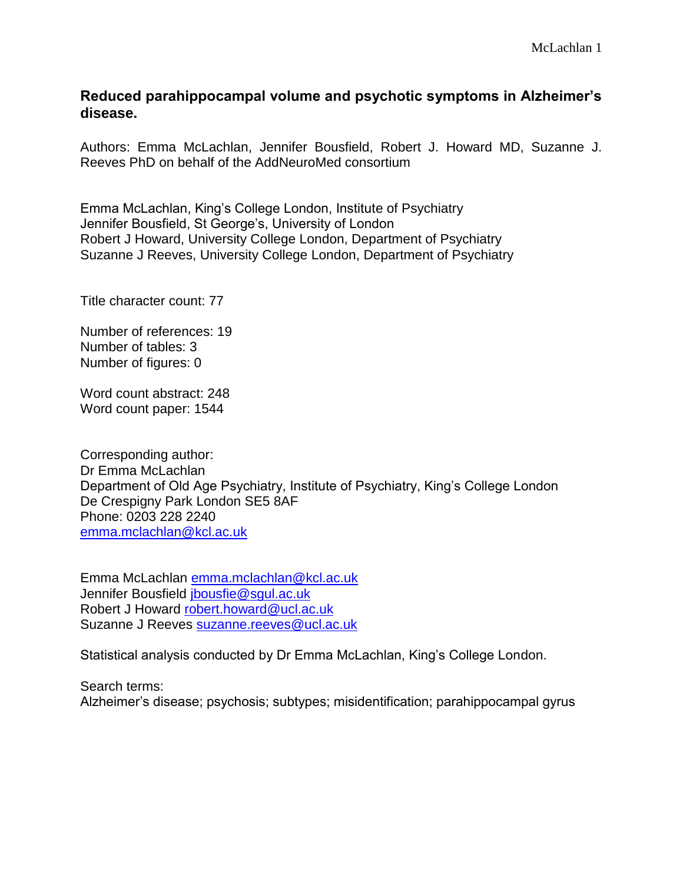# **Reduced parahippocampal volume and psychotic symptoms in Alzheimer's disease.**

Authors: Emma McLachlan, Jennifer Bousfield, Robert J. Howard MD, Suzanne J. Reeves PhD on behalf of the AddNeuroMed consortium

Emma McLachlan, King's College London, Institute of Psychiatry Jennifer Bousfield, St George's, University of London Robert J Howard, University College London, Department of Psychiatry Suzanne J Reeves, University College London, Department of Psychiatry

Title character count: 77

Number of references: 19 Number of tables: 3 Number of figures: 0

Word count abstract: 248 Word count paper: 1544

Corresponding author: Dr Emma McLachlan Department of Old Age Psychiatry, Institute of Psychiatry, King's College London De Crespigny Park London SE5 8AF Phone: 0203 228 2240 [emma.mclachlan@kcl.ac.uk](mailto:emma.mclachlan@kcl.ac.uk)

Emma McLachlan [emma.mclachlan@kcl.ac.uk](mailto:emma.mclachlan@kcl.ac.uk) Jennifer Bousfield [jbousfie@sgul.ac.uk](mailto:jbousfie@sgul.ac.uk) Robert J Howard [robert.howard@ucl.ac.uk](mailto:robert.howard@ucl.ac.uk) Suzanne J Reeves [suzanne.reeves@ucl.ac.uk](mailto:suzanne.reeves@ucl.ac.uk)

Statistical analysis conducted by Dr Emma McLachlan, King's College London.

Search terms: Alzheimer's disease; psychosis; subtypes; misidentification; parahippocampal gyrus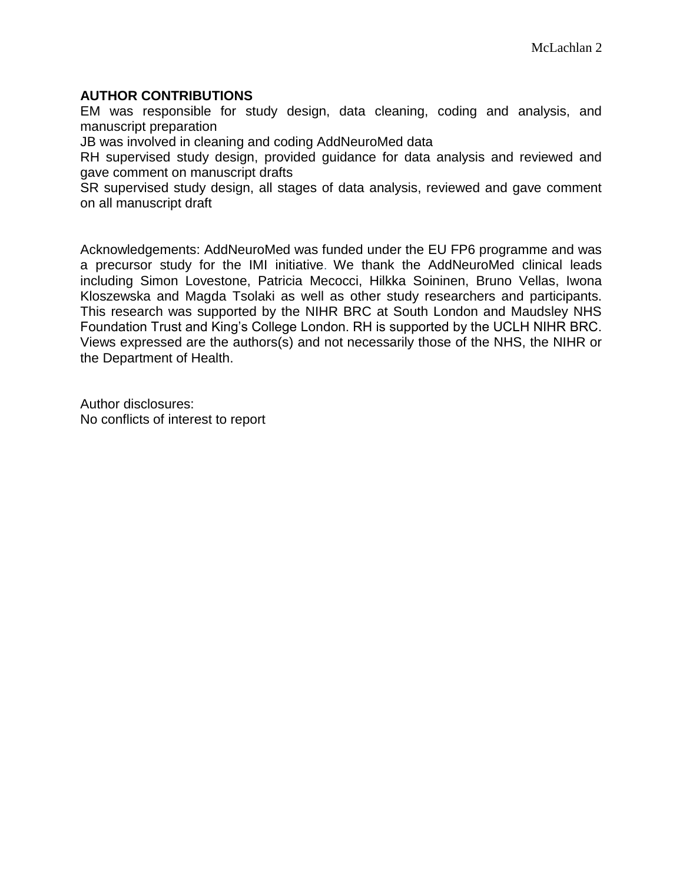# **AUTHOR CONTRIBUTIONS**

EM was responsible for study design, data cleaning, coding and analysis, and manuscript preparation

JB was involved in cleaning and coding AddNeuroMed data

RH supervised study design, provided guidance for data analysis and reviewed and gave comment on manuscript drafts

SR supervised study design, all stages of data analysis, reviewed and gave comment on all manuscript draft

Acknowledgements: AddNeuroMed was funded under the EU FP6 programme and was a precursor study for the IMI initiative. We thank the AddNeuroMed clinical leads including Simon Lovestone, Patricia Mecocci, Hilkka Soininen, Bruno Vellas, Iwona Kloszewska and Magda Tsolaki as well as other study researchers and participants. This research was supported by the NIHR BRC at South London and Maudsley NHS Foundation Trust and King's College London. RH is supported by the UCLH NIHR BRC. Views expressed are the authors(s) and not necessarily those of the NHS, the NIHR or the Department of Health.

Author disclosures: No conflicts of interest to report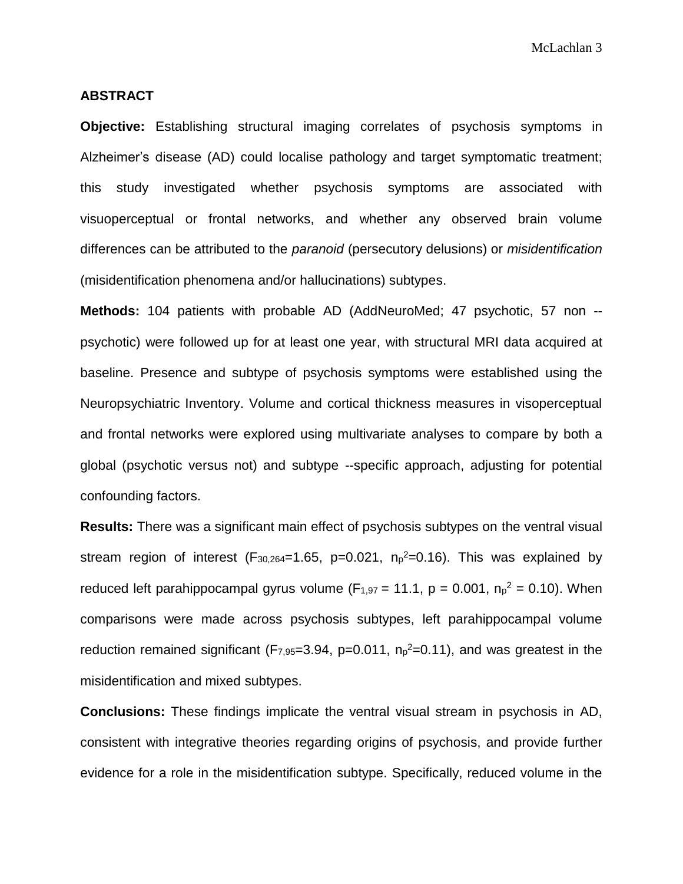#### **ABSTRACT**

**Objective:** Establishing structural imaging correlates of psychosis symptoms in Alzheimer's disease (AD) could localise pathology and target symptomatic treatment; this study investigated whether psychosis symptoms are associated with visuoperceptual or frontal networks, and whether any observed brain volume differences can be attributed to the *paranoid* (persecutory delusions) or *misidentification* (misidentification phenomena and/or hallucinations) subtypes.

**Methods:** 104 patients with probable AD (AddNeuroMed; 47 psychotic, 57 non - psychotic) were followed up for at least one year, with structural MRI data acquired at baseline. Presence and subtype of psychosis symptoms were established using the Neuropsychiatric Inventory. Volume and cortical thickness measures in visoperceptual and frontal networks were explored using multivariate analyses to compare by both a global (psychotic versus not) and subtype --specific approach, adjusting for potential confounding factors.

**Results:** There was a significant main effect of psychosis subtypes on the ventral visual stream region of interest ( $F_{30,264}=1.65$ , p=0.021,  $n_p^2=0.16$ ). This was explained by reduced left parahippocampal gyrus volume  $(F_{1,97} = 11.1, p = 0.001, n_p^2 = 0.10)$ . When comparisons were made across psychosis subtypes, left parahippocampal volume reduction remained significant ( $F_{7,95}=3.94$ , p=0.011,  $n_p^2=0.11$ ), and was greatest in the misidentification and mixed subtypes.

**Conclusions:** These findings implicate the ventral visual stream in psychosis in AD, consistent with integrative theories regarding origins of psychosis, and provide further evidence for a role in the misidentification subtype. Specifically, reduced volume in the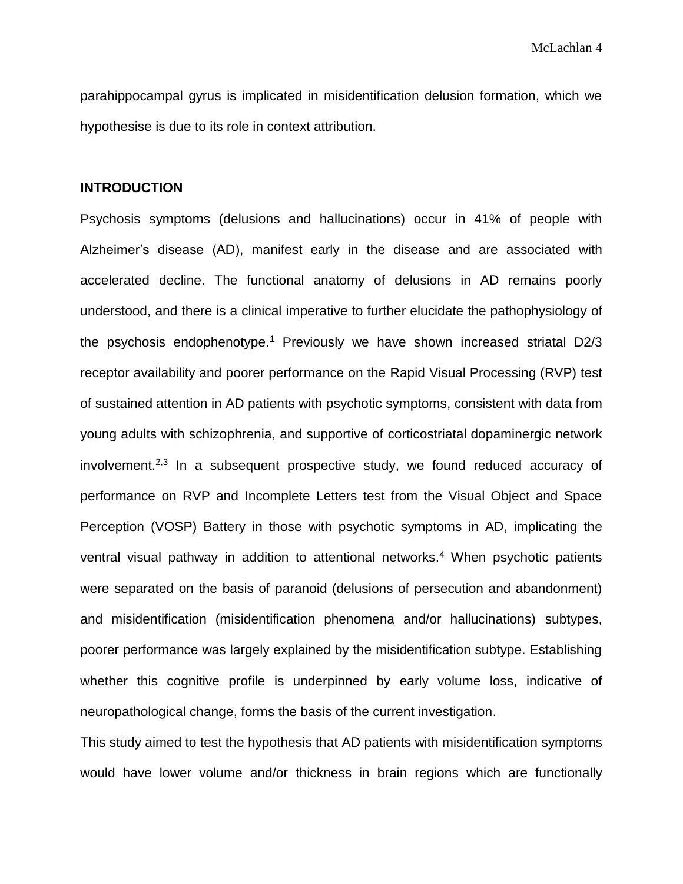parahippocampal gyrus is implicated in misidentification delusion formation, which we hypothesise is due to its role in context attribution.

### **INTRODUCTION**

Psychosis symptoms (delusions and hallucinations) occur in 41% of people with Alzheimer's disease (AD), manifest early in the disease and are associated with accelerated decline. The functional anatomy of delusions in AD remains poorly understood, and there is a clinical imperative to further elucidate the pathophysiology of the psychosis endophenotype.<sup>1</sup> Previously we have shown increased striatal D2/3 receptor availability and poorer performance on the Rapid Visual Processing (RVP) test of sustained attention in AD patients with psychotic symptoms, consistent with data from young adults with schizophrenia, and supportive of corticostriatal dopaminergic network involvement.<sup>2,3</sup> In a subsequent prospective study, we found reduced accuracy of performance on RVP and Incomplete Letters test from the Visual Object and Space Perception (VOSP) Battery in those with psychotic symptoms in AD, implicating the ventral visual pathway in addition to attentional networks. <sup>4</sup> When psychotic patients were separated on the basis of paranoid (delusions of persecution and abandonment) and misidentification (misidentification phenomena and/or hallucinations) subtypes, poorer performance was largely explained by the misidentification subtype. Establishing whether this cognitive profile is underpinned by early volume loss, indicative of neuropathological change, forms the basis of the current investigation.

This study aimed to test the hypothesis that AD patients with misidentification symptoms would have lower volume and/or thickness in brain regions which are functionally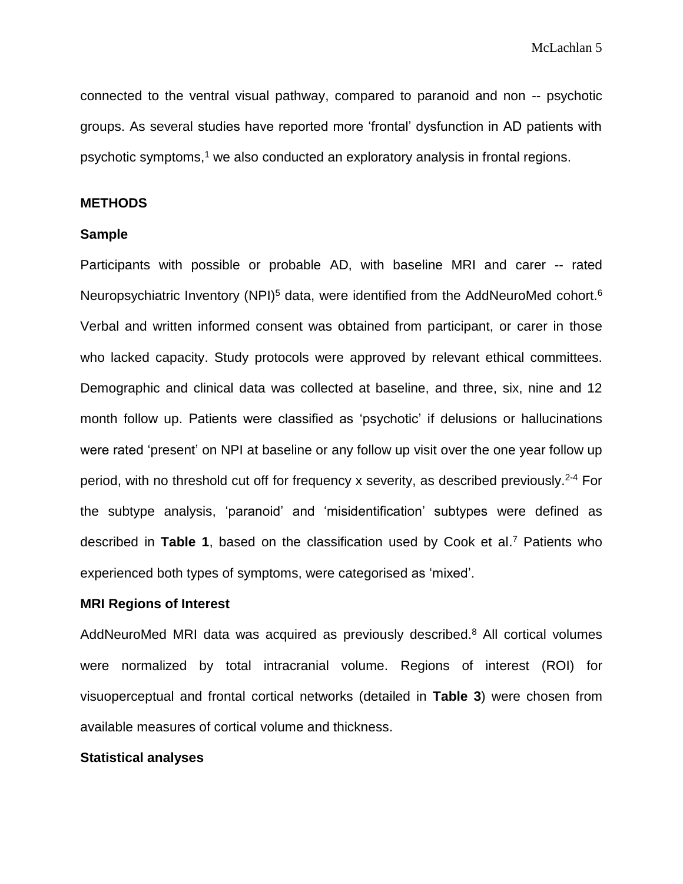connected to the ventral visual pathway, compared to paranoid and non -- psychotic groups. As several studies have reported more 'frontal' dysfunction in AD patients with psychotic symptoms, <sup>1</sup> we also conducted an exploratory analysis in frontal regions.

### **METHODS**

#### **Sample**

Participants with possible or probable AD, with baseline MRI and carer -- rated Neuropsychiatric Inventory (NPI)<sup>5</sup> data, were identified from the AddNeuroMed cohort.<sup>6</sup> Verbal and written informed consent was obtained from participant, or carer in those who lacked capacity. Study protocols were approved by relevant ethical committees. Demographic and clinical data was collected at baseline, and three, six, nine and 12 month follow up. Patients were classified as 'psychotic' if delusions or hallucinations were rated 'present' on NPI at baseline or any follow up visit over the one year follow up period, with no threshold cut off for frequency x severity, as described previously. 2-4 For the subtype analysis, 'paranoid' and 'misidentification' subtypes were defined as described in **Table 1**, based on the classification used by Cook et al. <sup>7</sup> Patients who experienced both types of symptoms, were categorised as 'mixed'.

#### **MRI Regions of Interest**

AddNeuroMed MRI data was acquired as previously described.<sup>8</sup> All cortical volumes were normalized by total intracranial volume. Regions of interest (ROI) for visuoperceptual and frontal cortical networks (detailed in **Table 3**) were chosen from available measures of cortical volume and thickness.

## **Statistical analyses**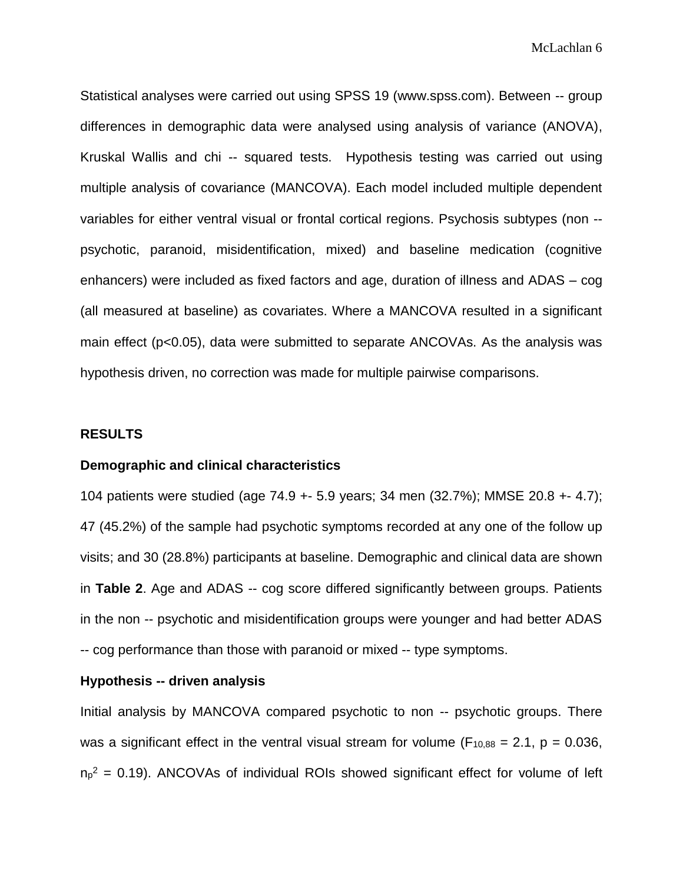McLachlan 6

Statistical analyses were carried out using SPSS 19 (www.spss.com). Between -- group differences in demographic data were analysed using analysis of variance (ANOVA), Kruskal Wallis and chi -- squared tests. Hypothesis testing was carried out using multiple analysis of covariance (MANCOVA). Each model included multiple dependent variables for either ventral visual or frontal cortical regions. Psychosis subtypes (non - psychotic, paranoid, misidentification, mixed) and baseline medication (cognitive enhancers) were included as fixed factors and age, duration of illness and ADAS – cog (all measured at baseline) as covariates. Where a MANCOVA resulted in a significant main effect (p<0.05), data were submitted to separate ANCOVAs. As the analysis was hypothesis driven, no correction was made for multiple pairwise comparisons.

#### **RESULTS**

#### **Demographic and clinical characteristics**

104 patients were studied (age 74.9 +- 5.9 years; 34 men (32.7%); MMSE 20.8 +- 4.7); 47 (45.2%) of the sample had psychotic symptoms recorded at any one of the follow up visits; and 30 (28.8%) participants at baseline. Demographic and clinical data are shown in **Table 2**. Age and ADAS -- cog score differed significantly between groups. Patients in the non -- psychotic and misidentification groups were younger and had better ADAS -- cog performance than those with paranoid or mixed -- type symptoms.

### **Hypothesis -- driven analysis**

Initial analysis by MANCOVA compared psychotic to non -- psychotic groups. There was a significant effect in the ventral visual stream for volume ( $F_{10,88} = 2.1$ ,  $p = 0.036$ ,  $n_p^2$  = 0.19). ANCOVAs of individual ROIs showed significant effect for volume of left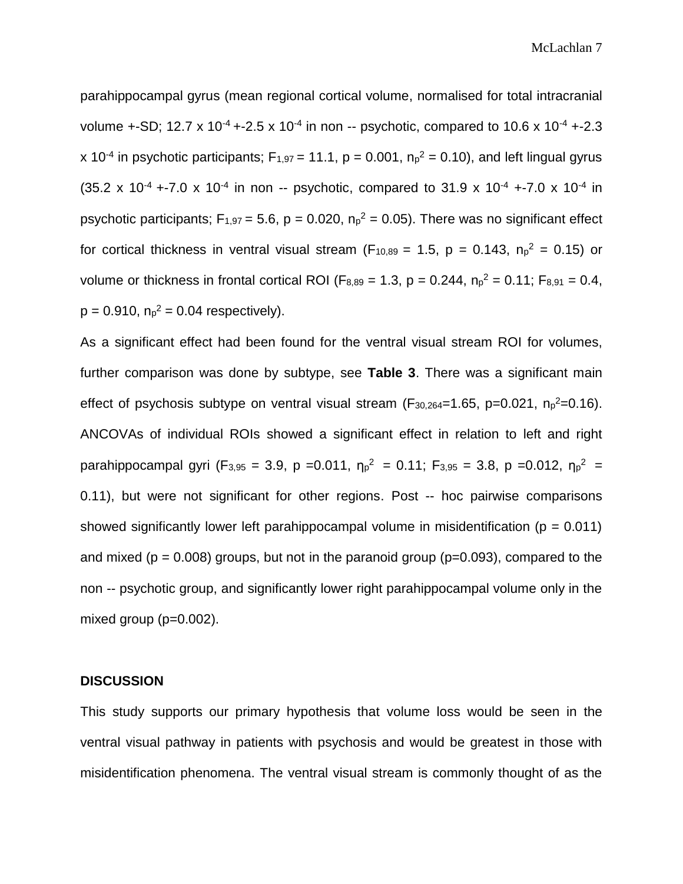parahippocampal gyrus (mean regional cortical volume, normalised for total intracranial volume +-SD; 12.7 x 10<sup>-4</sup> +-2.5 x 10<sup>-4</sup> in non -- psychotic, compared to 10.6 x 10<sup>-4</sup> +-2.3 x 10<sup>-4</sup> in psychotic participants;  $F_{1,97} = 11.1$ , p = 0.001,  $n_p^2 = 0.10$ ), and left lingual gyrus (35.2 x 10<sup>-4</sup> +-7.0 x 10<sup>-4</sup> in non -- psychotic, compared to 31.9 x 10<sup>-4</sup> +-7.0 x 10<sup>-4</sup> in psychotic participants;  $F_{1,97} = 5.6$ , p = 0.020,  $n_p^2 = 0.05$ ). There was no significant effect for cortical thickness in ventral visual stream (F<sub>10,89</sub> = 1.5, p = 0.143,  $n_p^2$  = 0.15) or volume or thickness in frontal cortical ROI ( $F_{8,89} = 1.3$ ,  $p = 0.244$ ,  $n_p^2 = 0.11$ ;  $F_{8,91} = 0.4$ ,  $p = 0.910$ ,  $n_p^2 = 0.04$  respectively).

As a significant effect had been found for the ventral visual stream ROI for volumes, further comparison was done by subtype, see **Table 3**. There was a significant main effect of psychosis subtype on ventral visual stream ( $F_{30,264}=1.65$ , p=0.021, n<sub>p</sub><sup>2</sup>=0.16). ANCOVAs of individual ROIs showed a significant effect in relation to left and right parahippocampal gyri (F<sub>3,95</sub> = 3.9, p = 0.011,  $\eta_p^2 = 0.11$ ; F<sub>3,95</sub> = 3.8, p = 0.012,  $\eta_p^2 =$ 0.11), but were not significant for other regions. Post -- hoc pairwise comparisons showed significantly lower left parahippocampal volume in misidentification ( $p = 0.011$ ) and mixed ( $p = 0.008$ ) groups, but not in the paranoid group ( $p=0.093$ ), compared to the non -- psychotic group, and significantly lower right parahippocampal volume only in the mixed group (p=0.002).

#### **DISCUSSION**

This study supports our primary hypothesis that volume loss would be seen in the ventral visual pathway in patients with psychosis and would be greatest in those with misidentification phenomena. The ventral visual stream is commonly thought of as the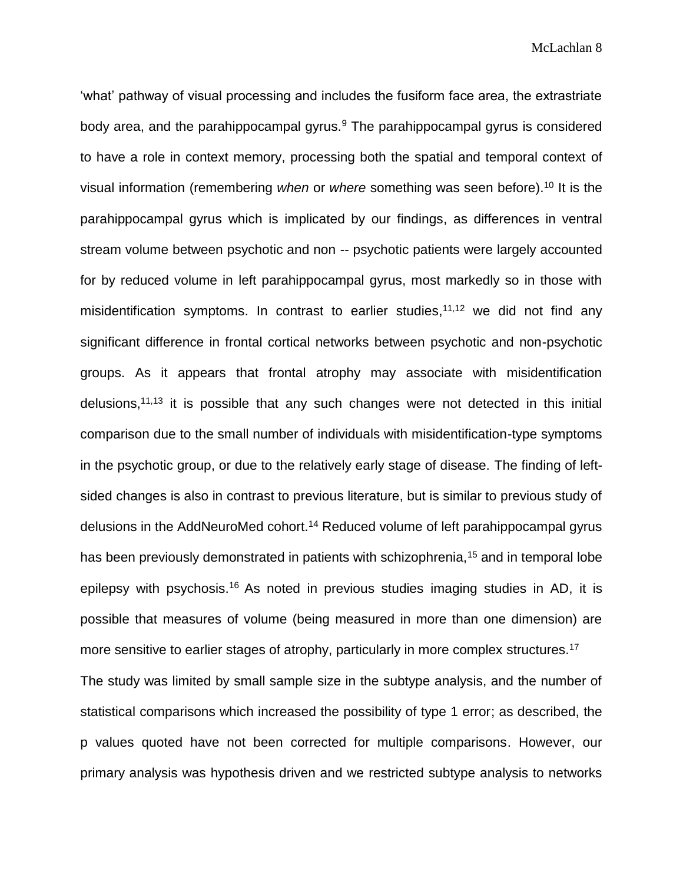McLachlan 8

'what' pathway of visual processing and includes the fusiform face area, the extrastriate body area, and the parahippocampal gyrus. $9$  The parahippocampal gyrus is considered to have a role in context memory, processing both the spatial and temporal context of visual information (remembering *when* or *where* something was seen before). <sup>10</sup> It is the parahippocampal gyrus which is implicated by our findings, as differences in ventral stream volume between psychotic and non -- psychotic patients were largely accounted for by reduced volume in left parahippocampal gyrus, most markedly so in those with misidentification symptoms. In contrast to earlier studies,<sup>11,12</sup> we did not find any significant difference in frontal cortical networks between psychotic and non-psychotic groups. As it appears that frontal atrophy may associate with misidentification delusions,<sup>11,13</sup> it is possible that any such changes were not detected in this initial comparison due to the small number of individuals with misidentification-type symptoms in the psychotic group, or due to the relatively early stage of disease. The finding of leftsided changes is also in contrast to previous literature, but is similar to previous study of delusions in the AddNeuroMed cohort.<sup>14</sup> Reduced volume of left parahippocampal gyrus has been previously demonstrated in patients with schizophrenia,<sup>15</sup> and in temporal lobe epilepsy with psychosis.<sup>16</sup> As noted in previous studies imaging studies in AD, it is possible that measures of volume (being measured in more than one dimension) are more sensitive to earlier stages of atrophy, particularly in more complex structures.<sup>17</sup> The study was limited by small sample size in the subtype analysis, and the number of

statistical comparisons which increased the possibility of type 1 error; as described, the p values quoted have not been corrected for multiple comparisons. However, our primary analysis was hypothesis driven and we restricted subtype analysis to networks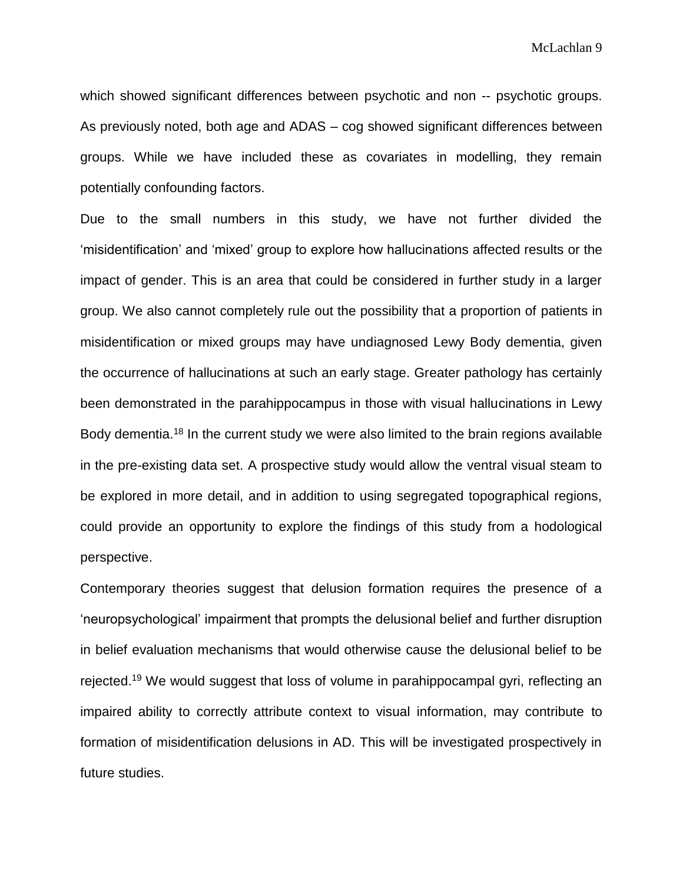which showed significant differences between psychotic and non -- psychotic groups. As previously noted, both age and ADAS – cog showed significant differences between groups. While we have included these as covariates in modelling, they remain potentially confounding factors.

Due to the small numbers in this study, we have not further divided the 'misidentification' and 'mixed' group to explore how hallucinations affected results or the impact of gender. This is an area that could be considered in further study in a larger group. We also cannot completely rule out the possibility that a proportion of patients in misidentification or mixed groups may have undiagnosed Lewy Body dementia, given the occurrence of hallucinations at such an early stage. Greater pathology has certainly been demonstrated in the parahippocampus in those with visual hallucinations in Lewy Body dementia.<sup>18</sup> In the current study we were also limited to the brain regions available in the pre-existing data set. A prospective study would allow the ventral visual steam to be explored in more detail, and in addition to using segregated topographical regions, could provide an opportunity to explore the findings of this study from a hodological perspective.

Contemporary theories suggest that delusion formation requires the presence of a 'neuropsychological' impairment that prompts the delusional belief and further disruption in belief evaluation mechanisms that would otherwise cause the delusional belief to be rejected.<sup>19</sup> We would suggest that loss of volume in parahippocampal gyri, reflecting an impaired ability to correctly attribute context to visual information, may contribute to formation of misidentification delusions in AD. This will be investigated prospectively in future studies.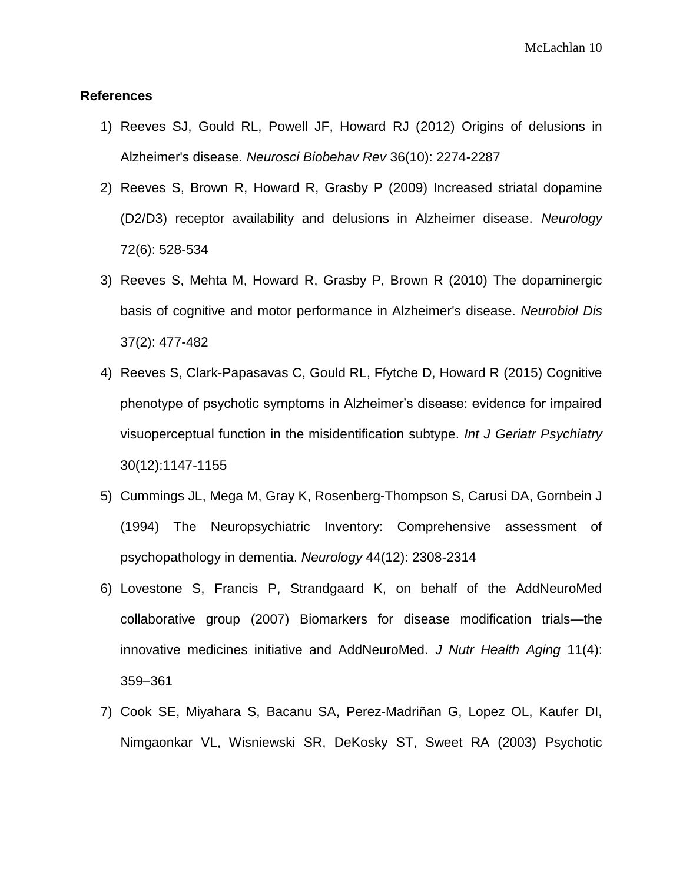### **References**

- 1) Reeves SJ, Gould RL, Powell JF, Howard RJ (2012) Origins of delusions in Alzheimer's disease. *Neurosci Biobehav Rev* 36(10): 2274-2287
- 2) Reeves S, Brown R, Howard R, Grasby P (2009) Increased striatal dopamine (D2/D3) receptor availability and delusions in Alzheimer disease. *Neurology*  72(6): 528-534
- 3) Reeves S, Mehta M, Howard R, Grasby P, Brown R (2010) The dopaminergic basis of cognitive and motor performance in Alzheimer's disease. *Neurobiol Dis*  37(2): 477-482
- 4) Reeves S, Clark-Papasavas C, Gould RL, Ffytche D, Howard R (2015) Cognitive phenotype of psychotic symptoms in Alzheimer's disease: evidence for impaired visuoperceptual function in the misidentification subtype. *Int J Geriatr Psychiatry* 30(12):1147-1155
- 5) Cummings JL, Mega M, Gray K, Rosenberg-Thompson S, Carusi DA, Gornbein J (1994) The Neuropsychiatric Inventory: Comprehensive assessment of psychopathology in dementia. *Neurology* 44(12): 2308-2314
- 6) Lovestone S, Francis P, Strandgaard K, on behalf of the AddNeuroMed collaborative group (2007) Biomarkers for disease modification trials—the innovative medicines initiative and AddNeuroMed. *J Nutr Health Aging* 11(4): 359–361
- 7) Cook SE, Miyahara S, Bacanu SA, Perez-Madriñan G, Lopez OL, Kaufer DI, Nimgaonkar VL, Wisniewski SR, DeKosky ST, Sweet RA (2003) Psychotic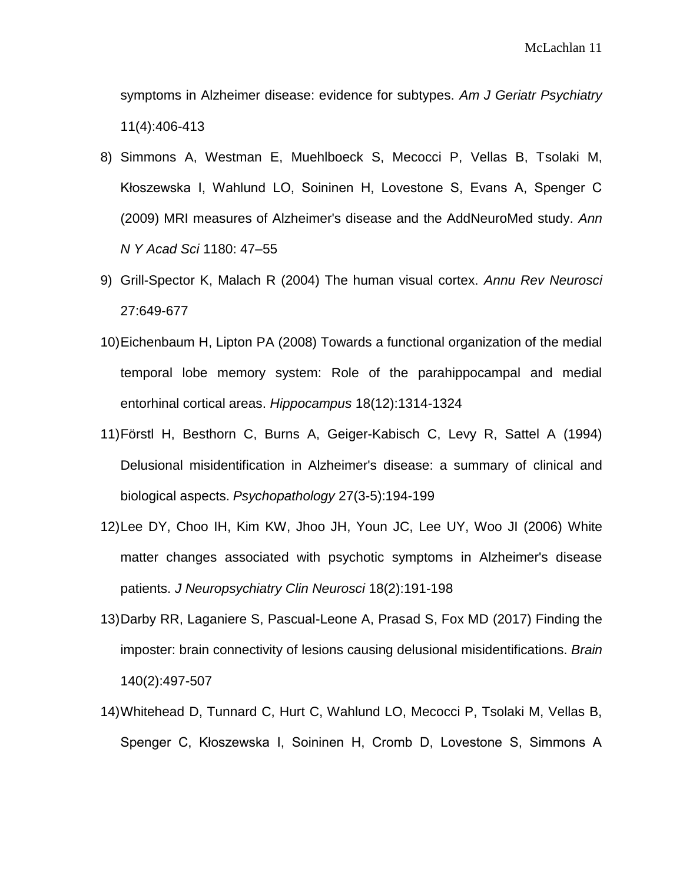symptoms in Alzheimer disease: evidence for subtypes. *Am J Geriatr Psychiatry* 11(4):406-413

- 8) Simmons A, Westman E, Muehlboeck S, Mecocci P, Vellas B, Tsolaki M, Kłoszewska I, Wahlund LO, Soininen H, Lovestone S, Evans A, Spenger C (2009) MRI measures of Alzheimer's disease and the AddNeuroMed study. *Ann N Y Acad Sci* 1180: 47–55
- 9) Grill-Spector K, Malach R (2004) The human visual cortex. *Annu Rev Neurosci* 27:649-677
- 10)Eichenbaum H, Lipton PA (2008) Towards a functional organization of the medial temporal lobe memory system: Role of the parahippocampal and medial entorhinal cortical areas. *Hippocampus* 18(12):1314-1324
- 11)Förstl H, Besthorn C, Burns A, Geiger-Kabisch C, Levy R, Sattel A (1994) Delusional misidentification in Alzheimer's disease: a summary of clinical and biological aspects. *Psychopathology* 27(3-5):194-199
- 12)Lee DY, Choo IH, Kim KW, Jhoo JH, Youn JC, Lee UY, Woo JI (2006) White matter changes associated with psychotic symptoms in Alzheimer's disease patients. *J Neuropsychiatry Clin Neurosci* 18(2):191-198
- 13)Darby RR, Laganiere S, Pascual-Leone A, Prasad S, Fox MD (2017) Finding the imposter: brain connectivity of lesions causing delusional misidentifications. *Brain* 140(2):497-507
- 14)Whitehead D, Tunnard C, Hurt C, Wahlund LO, Mecocci P, Tsolaki M, Vellas B, Spenger C, Kłoszewska I, Soininen H, Cromb D, Lovestone S, Simmons A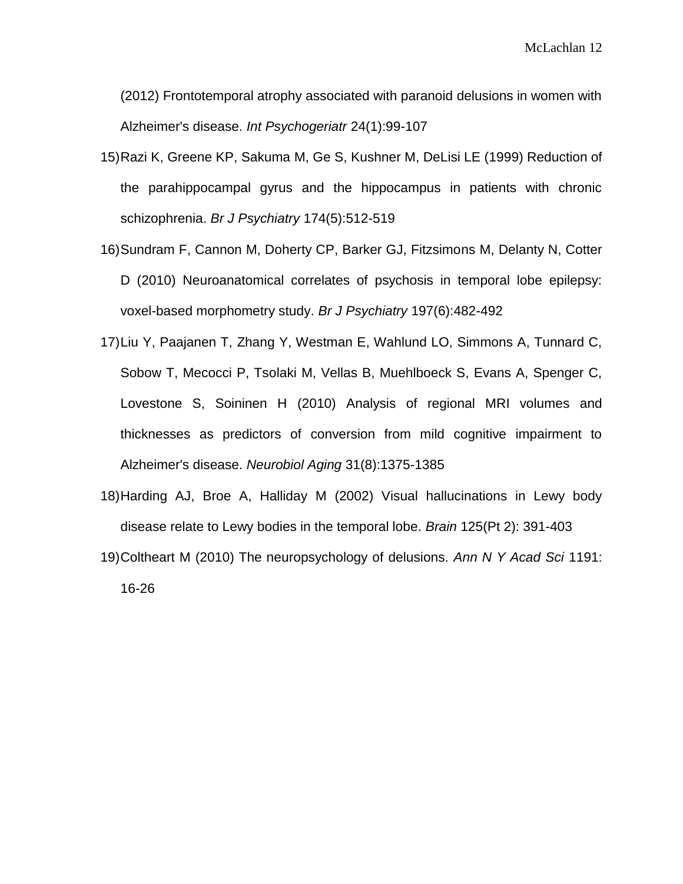(2012) Frontotemporal atrophy associated with paranoid delusions in women with Alzheimer's disease. *Int Psychogeriatr* 24(1):99-107

- 15)Razi K, Greene KP, Sakuma M, Ge S, Kushner M, DeLisi LE (1999) Reduction of the parahippocampal gyrus and the hippocampus in patients with chronic schizophrenia. *Br J Psychiatry* 174(5):512-519
- 16)Sundram F, Cannon M, Doherty CP, Barker GJ, Fitzsimons M, Delanty N, Cotter D (2010) Neuroanatomical correlates of psychosis in temporal lobe epilepsy: voxel-based morphometry study. *Br J Psychiatry* 197(6):482-492
- 17)Liu Y, Paajanen T, Zhang Y, Westman E, Wahlund LO, Simmons A, Tunnard C, Sobow T, Mecocci P, Tsolaki M, Vellas B, Muehlboeck S, Evans A, Spenger C, Lovestone S, Soininen H (2010) Analysis of regional MRI volumes and thicknesses as predictors of conversion from mild cognitive impairment to Alzheimer's disease. *Neurobiol Aging* 31(8):1375-1385
- 18)Harding AJ, Broe A, Halliday M (2002) Visual hallucinations in Lewy body disease relate to Lewy bodies in the temporal lobe. *Brain* 125(Pt 2): 391-403
- 19)Coltheart M (2010) The neuropsychology of delusions. *Ann N Y Acad Sci* 1191: 16-26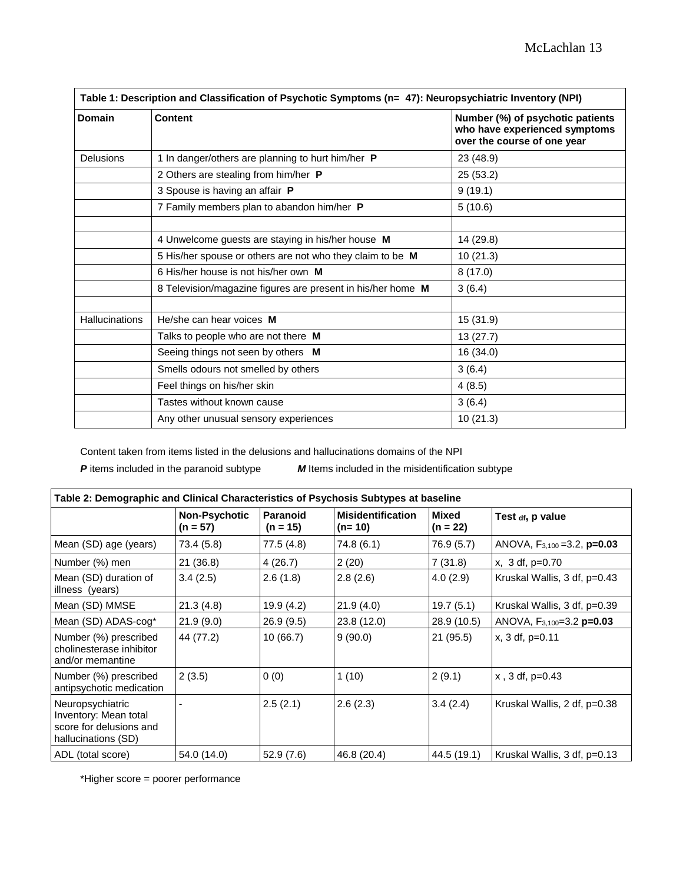| Table 1: Description and Classification of Psychotic Symptoms (n= 47): Neuropsychiatric Inventory (NPI) |                                                             |                                                                                                  |  |  |  |
|---------------------------------------------------------------------------------------------------------|-------------------------------------------------------------|--------------------------------------------------------------------------------------------------|--|--|--|
| Domain                                                                                                  | <b>Content</b>                                              | Number (%) of psychotic patients<br>who have experienced symptoms<br>over the course of one year |  |  |  |
| <b>Delusions</b>                                                                                        | 1 In danger/others are planning to hurt him/her P           | 23 (48.9)                                                                                        |  |  |  |
|                                                                                                         | 2 Others are stealing from him/her P                        | 25 (53.2)                                                                                        |  |  |  |
|                                                                                                         | 3 Spouse is having an affair P                              | 9(19.1)                                                                                          |  |  |  |
|                                                                                                         | 7 Family members plan to abandon him/her P                  | 5(10.6)                                                                                          |  |  |  |
|                                                                                                         | 4 Unwelcome guests are staying in his/her house M           | 14 (29.8)                                                                                        |  |  |  |
|                                                                                                         | 5 His/her spouse or others are not who they claim to be M   | 10(21.3)                                                                                         |  |  |  |
|                                                                                                         | 6 His/her house is not his/her own M                        | 8(17.0)                                                                                          |  |  |  |
|                                                                                                         | 8 Television/magazine figures are present in his/her home M | 3(6.4)                                                                                           |  |  |  |
| <b>Hallucinations</b>                                                                                   | He/she can hear voices M                                    | 15 (31.9)                                                                                        |  |  |  |
|                                                                                                         | Talks to people who are not there M                         | 13(27.7)                                                                                         |  |  |  |
|                                                                                                         | Seeing things not seen by others M                          | 16 (34.0)                                                                                        |  |  |  |
|                                                                                                         | Smells odours not smelled by others                         | 3(6.4)                                                                                           |  |  |  |
|                                                                                                         | Feel things on his/her skin                                 | 4(8.5)                                                                                           |  |  |  |
|                                                                                                         | Tastes without known cause                                  | 3(6.4)                                                                                           |  |  |  |
|                                                                                                         | Any other unusual sensory experiences                       | 10(21.3)                                                                                         |  |  |  |

Content taken from items listed in the delusions and hallucinations domains of the NPI

*P* items included in the paranoid subtype *M* Items included in the misidentification subtype

| Table 2: Demographic and Clinical Characteristics of Psychosis Subtypes at baseline         |                             |                        |                                      |                     |                                     |  |  |  |
|---------------------------------------------------------------------------------------------|-----------------------------|------------------------|--------------------------------------|---------------------|-------------------------------------|--|--|--|
|                                                                                             | Non-Psychotic<br>$(n = 57)$ | Paranoid<br>$(n = 15)$ | <b>Misidentification</b><br>$(n=10)$ | Mixed<br>$(n = 22)$ | Test $_{df}$ , p value              |  |  |  |
| Mean (SD) age (years)                                                                       | 73.4 (5.8)                  | 77.5 (4.8)             | 74.8 (6.1)                           | 76.9 (5.7)          | ANOVA, $F_{3,100} = 3.2$ , $p=0.03$ |  |  |  |
| Number (%) men                                                                              | 21 (36.8)                   | 4(26.7)                | 2(20)                                | 7(31.8)             | $x, 3 df, p=0.70$                   |  |  |  |
| Mean (SD) duration of<br>illness (years)                                                    | 3.4(2.5)                    | 2.6(1.8)               | 2.8(2.6)                             | 4.0(2.9)            | Kruskal Wallis, 3 df, p=0.43        |  |  |  |
| Mean (SD) MMSE                                                                              | 21.3(4.8)                   | 19.9 (4.2)             | 21.9(4.0)                            | 19.7(5.1)           | Kruskal Wallis, 3 df, p=0.39        |  |  |  |
| Mean (SD) ADAS-cog*                                                                         | 21.9(9.0)                   | 26.9(9.5)              | 23.8 (12.0)                          | 28.9 (10.5)         | ANOVA, $F_{3,100}=3.2$ p=0.03       |  |  |  |
| Number (%) prescribed<br>cholinesterase inhibitor<br>and/or memantine                       | 44 (77.2)                   | 10(66.7)               | 9(90.0)                              | 21 (95.5)           | $x, 3 df, p=0.11$                   |  |  |  |
| Number (%) prescribed<br>antipsychotic medication                                           | 2(3.5)                      | 0(0)                   | 1(10)                                | 2(9.1)              | $x$ , 3 df, p=0.43                  |  |  |  |
| Neuropsychiatric<br>Inventory: Mean total<br>score for delusions and<br>hallucinations (SD) |                             | 2.5(2.1)               | 2.6(2.3)                             | 3.4(2.4)            | Kruskal Wallis, 2 df, p=0.38        |  |  |  |
| ADL (total score)                                                                           | 54.0 (14.0)                 | 52.9(7.6)              | 46.8 (20.4)                          | 44.5 (19.1)         | Kruskal Wallis, 3 df, p=0.13        |  |  |  |

\*Higher score = poorer performance